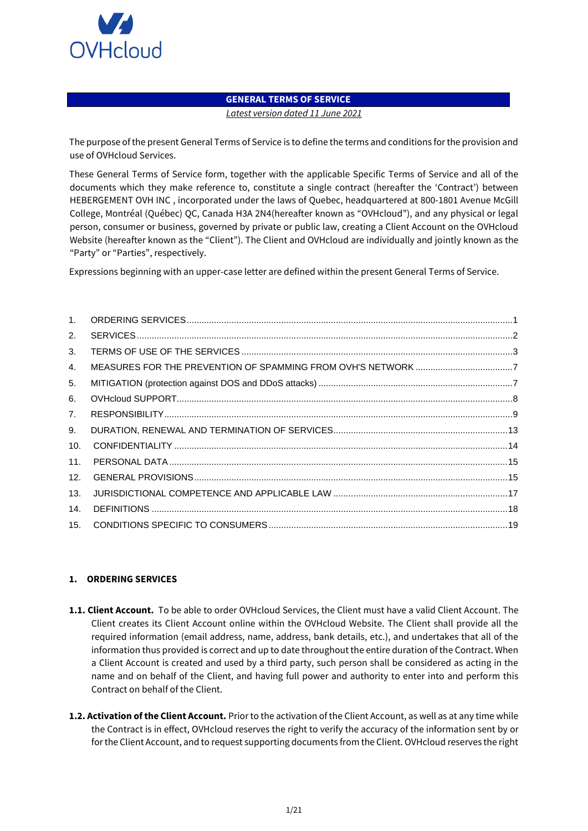

### **GENERAL TERMS OF SERVICE**

*Latest version dated 11 June 2021* 

The purpose of the present General Terms of Service is to define the terms and conditions for the provision and use of OVHcloud Services.

These General Terms of Service form, together with the applicable Specific Terms of Service and all of the documents which they make reference to, constitute a single contract (hereafter the 'Contract') between HEBERGEMENT OVH INC , incorporated under the laws of Quebec, headquartered at 800-1801 Avenue McGill College, Montréal (Québec) QC, Canada H3A 2N4(hereafter known as "OVHcloud"), and any physical or legal person, consumer or business, governed by private or public law, creating a Client Account on the OVHcloud Website (hereafter known as the "Client"). The Client and OVHcloud are individually and jointly known as the "Party" or "Parties", respectively.

Expressions beginning with an upper-case letter are defined within the present General Terms of Service.

| 2.  |  |
|-----|--|
| 3.  |  |
| 4.  |  |
| 5.  |  |
| 6.  |  |
| 7.  |  |
| 9.  |  |
| 10. |  |
| 11. |  |
| 12. |  |
| 13. |  |
| 14. |  |
| 15. |  |

### <span id="page-0-0"></span>**1. ORDERING SERVICES**

- **1.1. Client Account.** To be able to order OVHcloud Services, the Client must have a valid Client Account. The Client creates its Client Account online within the OVHcloud Website. The Client shall provide all the required information (email address, name, address, bank details, etc.), and undertakes that all of the information thus provided is correct and up to date throughout the entire duration of the Contract. When a Client Account is created and used by a third party, such person shall be considered as acting in the name and on behalf of the Client, and having full power and authority to enter into and perform this Contract on behalf of the Client.
- **1.2. Activation of the Client Account.** Prior to the activation of the Client Account, as well as at any time while the Contract is in effect, OVHcloud reserves the right to verify the accuracy of the information sent by or for the Client Account, and to request supporting documents from the Client. OVHcloud reserves the right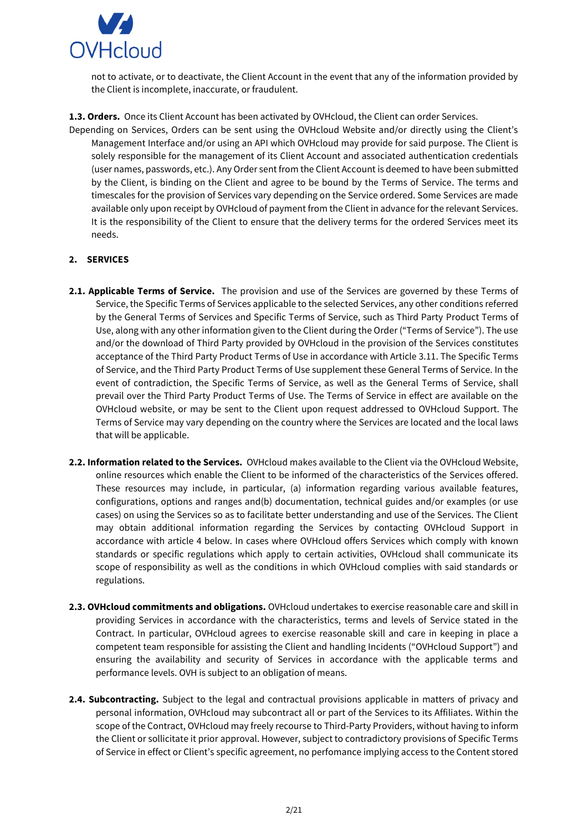

not to activate, or to deactivate, the Client Account in the event that any of the information provided by the Client is incomplete, inaccurate, or fraudulent.

**1.3. Orders.** Once its Client Account has been activated by OVHcloud, the Client can order Services.

Depending on Services, Orders can be sent using the OVHcloud Website and/or directly using the Client's Management Interface and/or using an API which OVHcloud may provide for said purpose. The Client is solely responsible for the management of its Client Account and associated authentication credentials (user names, passwords, etc.). Any Order sent from the Client Account is deemed to have been submitted by the Client, is binding on the Client and agree to be bound by the Terms of Service. The terms and timescales for the provision of Services vary depending on the Service ordered. Some Services are made available only upon receipt by OVHcloud of payment from the Client in advance for the relevant Services. It is the responsibility of the Client to ensure that the delivery terms for the ordered Services meet its needs.

### <span id="page-1-0"></span>**2. SERVICES**

- **2.1. Applicable Terms of Service.** The provision and use of the Services are governed by these Terms of Service, the Specific Terms of Services applicable to the selected Services, any other conditions referred by the General Terms of Services and Specific Terms of Service, such as Third Party Product Terms of Use, along with any other information given to the Client during the Order ("Terms of Service"). The use and/or the download of Third Party provided by OVHcloud in the provision of the Services constitutes acceptance of the Third Party Product Terms of Use in accordance with Article 3.11. The Specific Terms of Service, and the Third Party Product Terms of Use supplement these General Terms of Service. In the event of contradiction, the Specific Terms of Service, as well as the General Terms of Service, shall prevail over the Third Party Product Terms of Use. The Terms of Service in effect are available on the OVHcloud website, or may be sent to the Client upon request addressed to OVHcloud Support. The Terms of Service may vary depending on the country where the Services are located and the local laws that will be applicable.
- **2.2. Information related to the Services.** OVHcloud makes available to the Client via the OVHcloud Website, online resources which enable the Client to be informed of the characteristics of the Services offered. These resources may include, in particular, (a) information regarding various available features, configurations, options and ranges and(b) documentation, technical guides and/or examples (or use cases) on using the Services so as to facilitate better understanding and use of the Services. The Client may obtain additional information regarding the Services by contacting OVHcloud Support in accordance with article 4 below. In cases where OVHcloud offers Services which comply with known standards or specific regulations which apply to certain activities, OVHcloud shall communicate its scope of responsibility as well as the conditions in which OVHcloud complies with said standards or regulations.
- **2.3. OVHcloud commitments and obligations.** OVHcloud undertakes to exercise reasonable care and skill in providing Services in accordance with the characteristics, terms and levels of Service stated in the Contract. In particular, OVHcloud agrees to exercise reasonable skill and care in keeping in place a competent team responsible for assisting the Client and handling Incidents ("OVHcloud Support") and ensuring the availability and security of Services in accordance with the applicable terms and performance levels. OVH is subject to an obligation of means.
- **2.4. Subcontracting.** Subject to the legal and contractual provisions applicable in matters of privacy and personal information, OVHcloud may subcontract all or part of the Services to its Affiliates. Within the scope of the Contract, OVHcloud may freely recourse to Third-Party Providers, without having to inform the Client or sollicitate it prior approval. However, subject to contradictory provisions of Specific Terms of Service in effect or Client's specific agreement, no perfomance implying access to the Content stored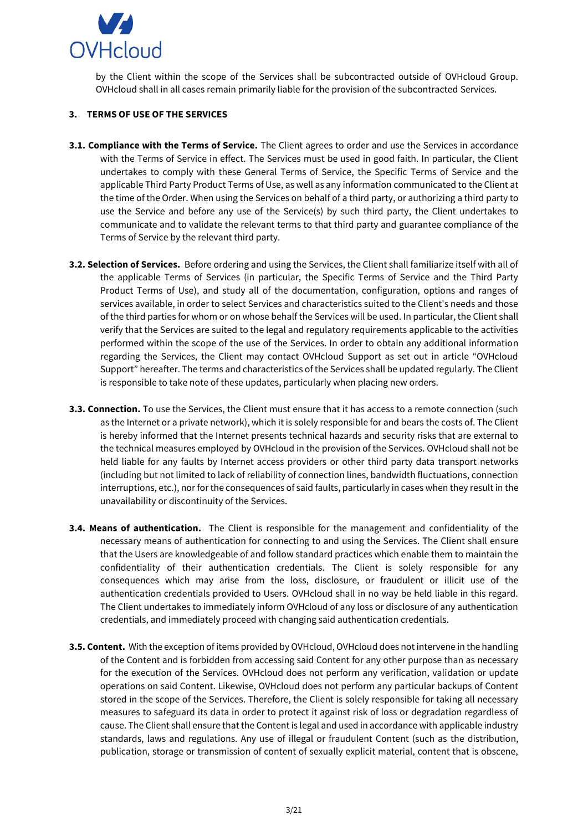

by the Client within the scope of the Services shall be subcontracted outside of OVHcloud Group. OVHcloud shall in all cases remain primarily liable for the provision of the subcontracted Services.

### <span id="page-2-0"></span>**3. TERMS OF USE OF THE SERVICES**

- **3.1. Compliance with the Terms of Service.** The Client agrees to order and use the Services in accordance with the Terms of Service in effect. The Services must be used in good faith. In particular, the Client undertakes to comply with these General Terms of Service, the Specific Terms of Service and the applicable Third Party Product Terms of Use, as well as any information communicated to the Client at the time of the Order. When using the Services on behalf of a third party, or authorizing a third party to use the Service and before any use of the Service(s) by such third party, the Client undertakes to communicate and to validate the relevant terms to that third party and guarantee compliance of the Terms of Service by the relevant third party.
- **3.2. Selection of Services.** Before ordering and using the Services, the Client shall familiarize itself with all of the applicable Terms of Services (in particular, the Specific Terms of Service and the Third Party Product Terms of Use), and study all of the documentation, configuration, options and ranges of services available, in order to select Services and characteristics suited to the Client's needs and those of the third parties for whom or on whose behalf the Services will be used. In particular, the Client shall verify that the Services are suited to the legal and regulatory requirements applicable to the activities performed within the scope of the use of the Services. In order to obtain any additional information regarding the Services, the Client may contact OVHcloud Support as set out in article "OVHcloud Support" hereafter. The terms and characteristics of the Services shall be updated regularly. The Client is responsible to take note of these updates, particularly when placing new orders.
- **3.3. Connection.** To use the Services, the Client must ensure that it has access to a remote connection (such as the Internet or a private network), which it is solely responsible for and bears the costs of. The Client is hereby informed that the Internet presents technical hazards and security risks that are external to the technical measures employed by OVHcloud in the provision of the Services. OVHcloud shall not be held liable for any faults by Internet access providers or other third party data transport networks (including but not limited to lack of reliability of connection lines, bandwidth fluctuations, connection interruptions, etc.), nor for the consequences of said faults, particularly in cases when they result in the unavailability or discontinuity of the Services.
- **3.4. Means of authentication.** The Client is responsible for the management and confidentiality of the necessary means of authentication for connecting to and using the Services. The Client shall ensure that the Users are knowledgeable of and follow standard practices which enable them to maintain the confidentiality of their authentication credentials. The Client is solely responsible for any consequences which may arise from the loss, disclosure, or fraudulent or illicit use of the authentication credentials provided to Users. OVHcloud shall in no way be held liable in this regard. The Client undertakes to immediately inform OVHcloud of any loss or disclosure of any authentication credentials, and immediately proceed with changing said authentication credentials.
- **3.5. Content.** With the exception of items provided by OVHcloud, OVHcloud does not intervene in the handling of the Content and is forbidden from accessing said Content for any other purpose than as necessary for the execution of the Services. OVHcloud does not perform any verification, validation or update operations on said Content. Likewise, OVHcloud does not perform any particular backups of Content stored in the scope of the Services. Therefore, the Client is solely responsible for taking all necessary measures to safeguard its data in order to protect it against risk of loss or degradation regardless of cause. The Client shall ensure that the Content is legal and used in accordance with applicable industry standards, laws and regulations. Any use of illegal or fraudulent Content (such as the distribution, publication, storage or transmission of content of sexually explicit material, content that is obscene,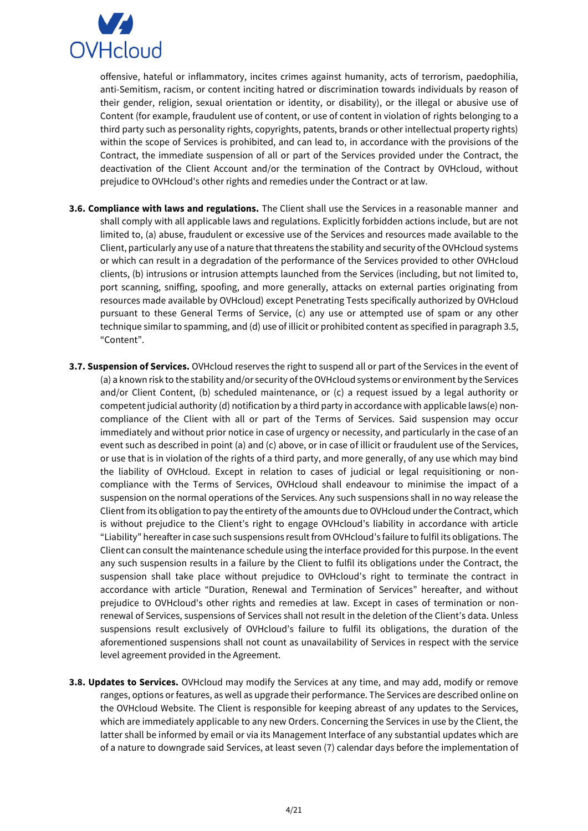

offensive, hateful or inflammatory, incites crimes against humanity, acts of terrorism, paedophilia, anti-Semitism, racism, or content inciting hatred or discrimination towards individuals by reason of their gender, religion, sexual orientation or identity, or disability), or the illegal or abusive use of Content (for example, fraudulent use of content, or use of content in violation of rights belonging to a third party such as personality rights, copyrights, patents, brands or other intellectual property rights) within the scope of Services is prohibited, and can lead to, in accordance with the provisions of the Contract, the immediate suspension of all or part of the Services provided under the Contract, the deactivation of the Client Account and/or the termination of the Contract by OVHcloud, without prejudice to OVHcloud's other rights and remedies under the Contract or at law.

- **3.6. Compliance with laws and regulations.** The Client shall use the Services in a reasonable manner and shall comply with all applicable laws and regulations. Explicitly forbidden actions include, but are not limited to, (a) abuse, fraudulent or excessive use of the Services and resources made available to the Client, particularly any use of a nature that threatens the stability and security of the OVHcloud systems or which can result in a degradation of the performance of the Services provided to other OVHcloud clients, (b) intrusions or intrusion attempts launched from the Services (including, but not limited to, port scanning, sniffing, spoofing, and more generally, attacks on external parties originating from resources made available by OVHcloud) except Penetrating Tests specifically authorized by OVHcloud pursuant to these General Terms of Service, (c) any use or attempted use of spam or any other technique similar to spamming, and (d) use of illicit or prohibited content as specified in paragraph 3.5, "Content".
- **3.7. Suspension of Services.** OVHcloud reserves the right to suspend all or part of the Services in the event of (a) a known risk to the stability and/or security of the OVHcloud systems or environment by the Services and/or Client Content, (b) scheduled maintenance, or (c) a request issued by a legal authority or competent judicial authority (d) notification by a third party in accordance with applicable laws(e) noncompliance of the Client with all or part of the Terms of Services. Said suspension may occur immediately and without prior notice in case of urgency or necessity, and particularly in the case of an event such as described in point (a) and (c) above, or in case of illicit or fraudulent use of the Services, or use that is in violation of the rights of a third party, and more generally, of any use which may bind the liability of OVHcloud. Except in relation to cases of judicial or legal requisitioning or noncompliance with the Terms of Services, OVHcloud shall endeavour to minimise the impact of a suspension on the normal operations of the Services. Any such suspensions shall in no way release the Client from its obligation to pay the entirety of the amounts due to OVHcloud under the Contract, which is without prejudice to the Client's right to engage OVHcloud's liability in accordance with article "Liability" hereafter in case such suspensions result from OVHcloud's failure to fulfil its obligations. The Client can consult the maintenance schedule using the interface provided for this purpose. In the event any such suspension results in a failure by the Client to fulfil its obligations under the Contract, the suspension shall take place without prejudice to OVHcloud's right to terminate the contract in accordance with article "Duration, Renewal and Termination of Services" hereafter, and without prejudice to OVHcloud's other rights and remedies at law. Except in cases of termination or nonrenewal of Services, suspensions of Services shall not result in the deletion of the Client's data. Unless suspensions result exclusively of OVHcloud's failure to fulfil its obligations, the duration of the aforementioned suspensions shall not count as unavailability of Services in respect with the service level agreement provided in the Agreement.
- **3.8. Updates to Services.** OVHcloud may modify the Services at any time, and may add, modify or remove ranges, options or features, as well as upgrade their performance. The Services are described online on the OVHcloud Website. The Client is responsible for keeping abreast of any updates to the Services, which are immediately applicable to any new Orders. Concerning the Services in use by the Client, the latter shall be informed by email or via its Management Interface of any substantial updates which are of a nature to downgrade said Services, at least seven (7) calendar days before the implementation of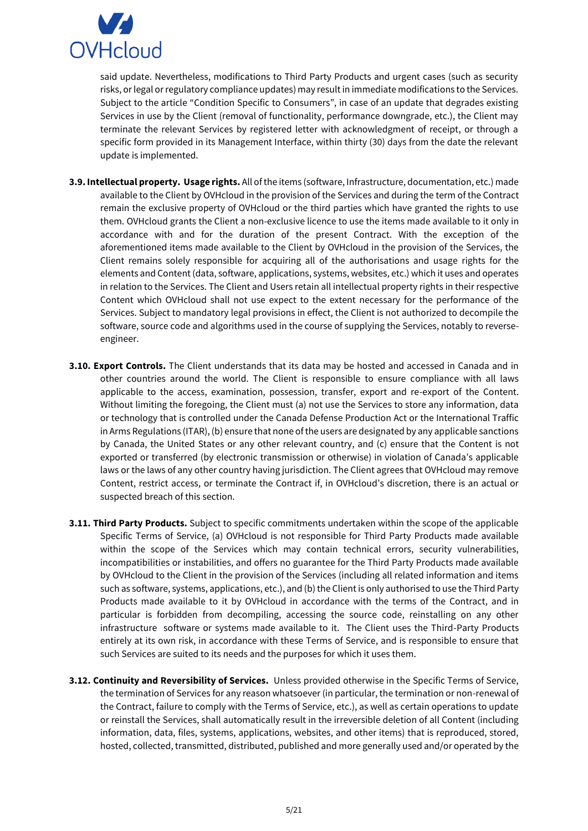

said update. Nevertheless, modifications to Third Party Products and urgent cases (such as security risks, or legal or regulatory compliance updates) may result in immediate modifications to the Services. Subject to the article "Condition Specific to Consumers", in case of an update that degrades existing Services in use by the Client (removal of functionality, performance downgrade, etc.), the Client may terminate the relevant Services by registered letter with acknowledgment of receipt, or through a specific form provided in its Management Interface, within thirty (30) days from the date the relevant update is implemented.

- **3.9. Intellectual property. Usage rights.** All of the items (software, Infrastructure, documentation, etc.) made available to the Client by OVHcloud in the provision of the Services and during the term of the Contract remain the exclusive property of OVHcloud or the third parties which have granted the rights to use them. OVHcloud grants the Client a non-exclusive licence to use the items made available to it only in accordance with and for the duration of the present Contract. With the exception of the aforementioned items made available to the Client by OVHcloud in the provision of the Services, the Client remains solely responsible for acquiring all of the authorisations and usage rights for the elements and Content (data, software, applications, systems, websites, etc.) which it uses and operates in relation to the Services. The Client and Users retain all intellectual property rights in their respective Content which OVHcloud shall not use expect to the extent necessary for the performance of the Services. Subject to mandatory legal provisions in effect, the Client is not authorized to decompile the software, source code and algorithms used in the course of supplying the Services, notably to reverseengineer.
- **3.10. Export Controls.** The Client understands that its data may be hosted and accessed in Canada and in other countries around the world. The Client is responsible to ensure compliance with all laws applicable to the access, examination, possession, transfer, export and re-export of the Content. Without limiting the foregoing, the Client must (a) not use the Services to store any information, data or technology that is controlled under the Canada Defense Production Act or the International Traffic in Arms Regulations (ITAR), (b) ensure that none of the users are designated by any applicable sanctions by Canada, the United States or any other relevant country, and (c) ensure that the Content is not exported or transferred (by electronic transmission or otherwise) in violation of Canada's applicable laws or the laws of any other country having jurisdiction. The Client agrees that OVHcloud may remove Content, restrict access, or terminate the Contract if, in OVHcloud's discretion, there is an actual or suspected breach of this section.
- **3.11. Third Party Products.** Subject to specific commitments undertaken within the scope of the applicable Specific Terms of Service, (a) OVHcloud is not responsible for Third Party Products made available within the scope of the Services which may contain technical errors, security vulnerabilities, incompatibilities or instabilities, and offers no guarantee for the Third Party Products made available by OVHcloud to the Client in the provision of the Services (including all related information and items such as software, systems, applications, etc.), and (b) the Client is only authorised to use the Third Party Products made available to it by OVHcloud in accordance with the terms of the Contract, and in particular is forbidden from decompiling, accessing the source code, reinstalling on any other infrastructure software or systems made available to it. The Client uses the Third-Party Products entirely at its own risk, in accordance with these Terms of Service, and is responsible to ensure that such Services are suited to its needs and the purposes for which it uses them.
- **3.12. Continuity and Reversibility of Services.** Unless provided otherwise in the Specific Terms of Service, the termination of Services for any reason whatsoever (in particular, the termination or non-renewal of the Contract, failure to comply with the Terms of Service, etc.), as well as certain operations to update or reinstall the Services, shall automatically result in the irreversible deletion of all Content (including information, data, files, systems, applications, websites, and other items) that is reproduced, stored, hosted, collected, transmitted, distributed, published and more generally used and/or operated by the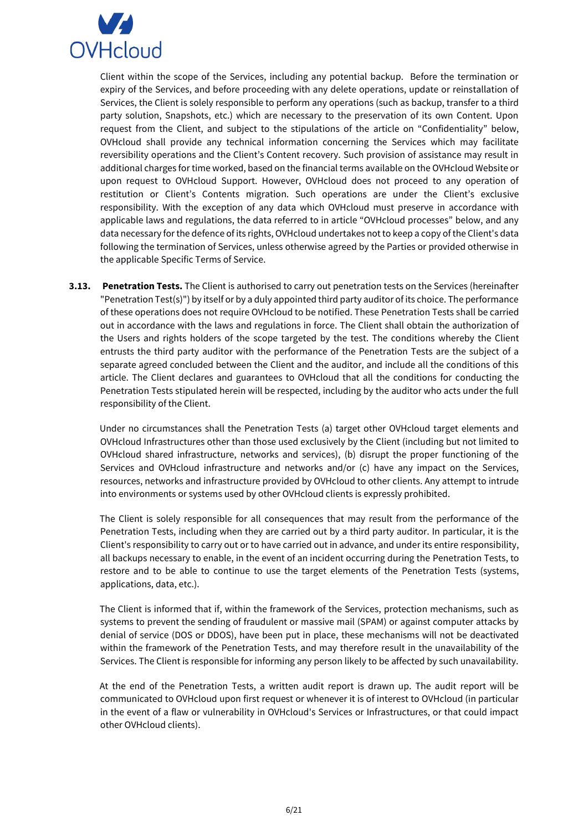

Client within the scope of the Services, including any potential backup. Before the termination or expiry of the Services, and before proceeding with any delete operations, update or reinstallation of Services, the Client is solely responsible to perform any operations (such as backup, transfer to a third party solution, Snapshots, etc.) which are necessary to the preservation of its own Content. Upon request from the Client, and subject to the stipulations of the article on "Confidentiality" below, OVHcloud shall provide any technical information concerning the Services which may facilitate reversibility operations and the Client's Content recovery. Such provision of assistance may result in additional charges for time worked, based on the financial terms available on the OVHcloud Website or upon request to OVHcloud Support. However, OVHcloud does not proceed to any operation of restitution or Client's Contents migration. Such operations are under the Client's exclusive responsibility. With the exception of any data which OVHcloud must preserve in accordance with applicable laws and regulations, the data referred to in article "OVHcloud processes" below, and any data necessary for the defence of its rights, OVHcloud undertakes not to keep a copy of the Client's data following the termination of Services, unless otherwise agreed by the Parties or provided otherwise in the applicable Specific Terms of Service.

**3.13. Penetration Tests.** The Client is authorised to carry out penetration tests on the Services (hereinafter "Penetration Test(s)") by itself or by a duly appointed third party auditor of its choice. The performance of these operations does not require OVHcloud to be notified. These Penetration Tests shall be carried out in accordance with the laws and regulations in force. The Client shall obtain the authorization of the Users and rights holders of the scope targeted by the test. The conditions whereby the Client entrusts the third party auditor with the performance of the Penetration Tests are the subject of a separate agreed concluded between the Client and the auditor, and include all the conditions of this article. The Client declares and guarantees to OVHcloud that all the conditions for conducting the Penetration Tests stipulated herein will be respected, including by the auditor who acts under the full responsibility of the Client.

Under no circumstances shall the Penetration Tests (a) target other OVHcloud target elements and OVHcloud Infrastructures other than those used exclusively by the Client (including but not limited to OVHcloud shared infrastructure, networks and services), (b) disrupt the proper functioning of the Services and OVHcloud infrastructure and networks and/or (c) have any impact on the Services, resources, networks and infrastructure provided by OVHcloud to other clients. Any attempt to intrude into environments or systems used by other OVHcloud clients is expressly prohibited.

The Client is solely responsible for all consequences that may result from the performance of the Penetration Tests, including when they are carried out by a third party auditor. In particular, it is the Client's responsibility to carry out or to have carried out in advance, and under its entire responsibility, all backups necessary to enable, in the event of an incident occurring during the Penetration Tests, to restore and to be able to continue to use the target elements of the Penetration Tests (systems, applications, data, etc.).

The Client is informed that if, within the framework of the Services, protection mechanisms, such as systems to prevent the sending of fraudulent or massive mail (SPAM) or against computer attacks by denial of service (DOS or DDOS), have been put in place, these mechanisms will not be deactivated within the framework of the Penetration Tests, and may therefore result in the unavailability of the Services. The Client is responsible for informing any person likely to be affected by such unavailability.

At the end of the Penetration Tests, a written audit report is drawn up. The audit report will be communicated to OVHcloud upon first request or whenever it is of interest to OVHcloud (in particular in the event of a flaw or vulnerability in OVHcloud's Services or Infrastructures, or that could impact other OVHcloud clients).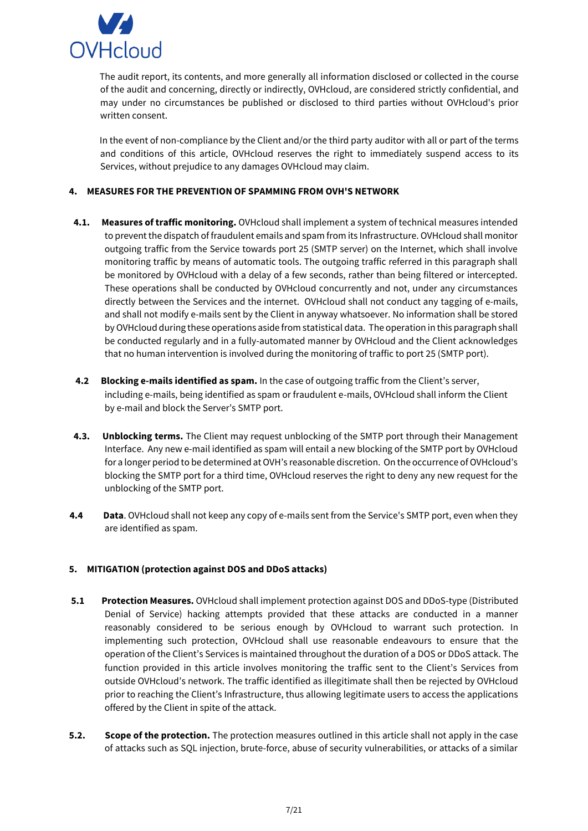

The audit report, its contents, and more generally all information disclosed or collected in the course of the audit and concerning, directly or indirectly, OVHcloud, are considered strictly confidential, and may under no circumstances be published or disclosed to third parties without OVHcloud's prior written consent.

In the event of non-compliance by the Client and/or the third party auditor with all or part of the terms and conditions of this article, OVHcloud reserves the right to immediately suspend access to its Services, without prejudice to any damages OVHcloud may claim.

### <span id="page-6-0"></span>**4. MEASURES FOR THE PREVENTION OF SPAMMING FROM OVH'S NETWORK**

- **4.1. Measures of traffic monitoring.** OVHcloud shall implement a system of technical measures intended to prevent the dispatch of fraudulent emails and spam from its Infrastructure. OVHcloud shall monitor outgoing traffic from the Service towards port 25 (SMTP server) on the Internet, which shall involve monitoring traffic by means of automatic tools. The outgoing traffic referred in this paragraph shall be monitored by OVHcloud with a delay of a few seconds, rather than being filtered or intercepted. These operations shall be conducted by OVHcloud concurrently and not, under any circumstances directly between the Services and the internet. OVHcloud shall not conduct any tagging of e-mails, and shall not modify e-mails sent by the Client in anyway whatsoever. No information shall be stored by OVHcloud during these operations aside from statistical data. The operation in this paragraph shall be conducted regularly and in a fully-automated manner by OVHcloud and the Client acknowledges that no human intervention is involved during the monitoring of traffic to port 25 (SMTP port).
- **4.2 Blocking e-mails identified as spam.** In the case of outgoing traffic from the Client's server, including e-mails, being identified as spam or fraudulent e-mails, OVHcloud shall inform the Client by e-mail and block the Server's SMTP port.
- **4.3. Unblocking terms.** The Client may request unblocking of the SMTP port through their Management Interface. Any new e-mail identified as spam will entail a new blocking of the SMTP port by OVHcloud for a longer period to be determined at OVH's reasonable discretion. On the occurrence of OVHcloud's blocking the SMTP port for a third time, OVHcloud reserves the right to deny any new request for the unblocking of the SMTP port.
- **4.4 Data**. OVHcloud shall not keep any copy of e-mails sent from the Service's SMTP port, even when they are identified as spam.

### <span id="page-6-1"></span>**5. MITIGATION (protection against DOS and DDoS attacks)**

- **5.1 Protection Measures.** OVHcloud shall implement protection against DOS and DDoS-type (Distributed Denial of Service) hacking attempts provided that these attacks are conducted in a manner reasonably considered to be serious enough by OVHcloud to warrant such protection. In implementing such protection, OVHcloud shall use reasonable endeavours to ensure that the operation of the Client's Services is maintained throughout the duration of a DOS or DDoS attack. The function provided in this article involves monitoring the traffic sent to the Client's Services from outside OVHcloud's network. The traffic identified as illegitimate shall then be rejected by OVHcloud prior to reaching the Client's Infrastructure, thus allowing legitimate users to access the applications offered by the Client in spite of the attack.
- **5.2. Scope of the protection.** The protection measures outlined in this article shall not apply in the case of attacks such as SQL injection, brute-force, abuse of security vulnerabilities, or attacks of a similar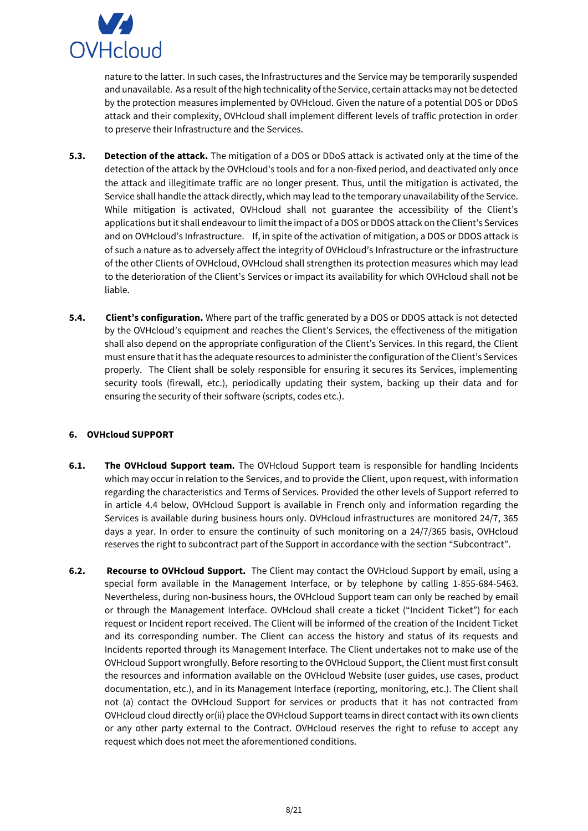

nature to the latter. In such cases, the Infrastructures and the Service may be temporarily suspended and unavailable. As a result of the high technicality of the Service, certain attacks may not be detected by the protection measures implemented by OVHcloud. Given the nature of a potential DOS or DDoS attack and their complexity, OVHcloud shall implement different levels of traffic protection in order to preserve their Infrastructure and the Services.

- **5.3. Detection of the attack.** The mitigation of a DOS or DDoS attack is activated only at the time of the detection of the attack by the OVHcloud's tools and for a non-fixed period, and deactivated only once the attack and illegitimate traffic are no longer present. Thus, until the mitigation is activated, the Service shall handle the attack directly, which may lead to the temporary unavailability of the Service. While mitigation is activated, OVHcloud shall not guarantee the accessibility of the Client's applications but it shall endeavour to limit the impact of a DOS or DDOS attack on the Client's Services and on OVHcloud's Infrastructure. If, in spite of the activation of mitigation, a DOS or DDOS attack is of such a nature as to adversely affect the integrity of OVHcloud's Infrastructure or the infrastructure of the other Clients of OVHcloud, OVHcloud shall strengthen its protection measures which may lead to the deterioration of the Client's Services or impact its availability for which OVHcloud shall not be liable.
- **5.4. Client's configuration.** Where part of the traffic generated by a DOS or DDOS attack is not detected by the OVHcloud's equipment and reaches the Client's Services, the effectiveness of the mitigation shall also depend on the appropriate configuration of the Client's Services. In this regard, the Client must ensure that it has the adequate resources to administer the configuration of the Client's Services properly. The Client shall be solely responsible for ensuring it secures its Services, implementing security tools (firewall, etc.), periodically updating their system, backing up their data and for ensuring the security of their software (scripts, codes etc.).

### <span id="page-7-0"></span>**6. OVHcloud SUPPORT**

- **6.1. The OVHcloud Support team.** The OVHcloud Support team is responsible for handling Incidents which may occur in relation to the Services, and to provide the Client, upon request, with information regarding the characteristics and Terms of Services. Provided the other levels of Support referred to in article 4.4 below, OVHcloud Support is available in French only and information regarding the Services is available during business hours only. OVHcloud infrastructures are monitored 24/7, 365 days a year. In order to ensure the continuity of such monitoring on a 24/7/365 basis, OVHcloud reserves the right to subcontract part of the Support in accordance with the section "Subcontract".
- **6.2. Recourse to OVHcloud Support.** The Client may contact the OVHcloud Support by email, using a special form available in the Management Interface, or by telephone by calling 1-855-684-5463. Nevertheless, during non-business hours, the OVHcloud Support team can only be reached by email or through the Management Interface. OVHcloud shall create a ticket ("Incident Ticket") for each request or Incident report received. The Client will be informed of the creation of the Incident Ticket and its corresponding number. The Client can access the history and status of its requests and Incidents reported through its Management Interface. The Client undertakes not to make use of the OVHcloud Support wrongfully. Before resorting to the OVHcloud Support, the Client must first consult the resources and information available on the OVHcloud Website (user guides, use cases, product documentation, etc.), and in its Management Interface (reporting, monitoring, etc.). The Client shall not (a) contact the OVHcloud Support for services or products that it has not contracted from OVHcloud cloud directly or(ii) place the OVHcloud Support teams in direct contact with its own clients or any other party external to the Contract. OVHcloud reserves the right to refuse to accept any request which does not meet the aforementioned conditions.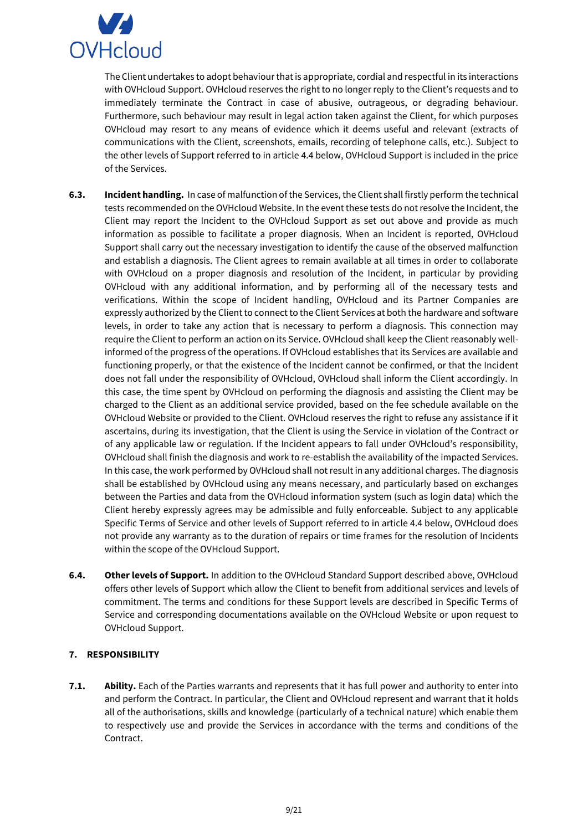

The Client undertakes to adopt behaviour that is appropriate, cordial and respectful in its interactions with OVHcloud Support. OVHcloud reserves the right to no longer reply to the Client's requests and to immediately terminate the Contract in case of abusive, outrageous, or degrading behaviour. Furthermore, such behaviour may result in legal action taken against the Client, for which purposes OVHcloud may resort to any means of evidence which it deems useful and relevant (extracts of communications with the Client, screenshots, emails, recording of telephone calls, etc.). Subject to the other levels of Support referred to in article 4.4 below, OVHcloud Support is included in the price of the Services.

- **6.3. Incident handling.** In case of malfunction of the Services, the Client shall firstly perform the technical tests recommended on the OVHcloud Website. In the event these tests do not resolve the Incident, the Client may report the Incident to the OVHcloud Support as set out above and provide as much information as possible to facilitate a proper diagnosis. When an Incident is reported, OVHcloud Support shall carry out the necessary investigation to identify the cause of the observed malfunction and establish a diagnosis. The Client agrees to remain available at all times in order to collaborate with OVHcloud on a proper diagnosis and resolution of the Incident, in particular by providing OVHcloud with any additional information, and by performing all of the necessary tests and verifications. Within the scope of Incident handling, OVHcloud and its Partner Companies are expressly authorized by the Client to connect to the Client Services at both the hardware and software levels, in order to take any action that is necessary to perform a diagnosis. This connection may require the Client to perform an action on its Service. OVHcloud shall keep the Client reasonably wellinformed of the progress of the operations. If OVHcloud establishes that its Services are available and functioning properly, or that the existence of the Incident cannot be confirmed, or that the Incident does not fall under the responsibility of OVHcloud, OVHcloud shall inform the Client accordingly. In this case, the time spent by OVHcloud on performing the diagnosis and assisting the Client may be charged to the Client as an additional service provided, based on the fee schedule available on the OVHcloud Website or provided to the Client. OVHcloud reserves the right to refuse any assistance if it ascertains, during its investigation, that the Client is using the Service in violation of the Contract or of any applicable law or regulation. If the Incident appears to fall under OVHcloud's responsibility, OVHcloud shall finish the diagnosis and work to re-establish the availability of the impacted Services. In this case, the work performed by OVHcloud shall not result in any additional charges. The diagnosis shall be established by OVHcloud using any means necessary, and particularly based on exchanges between the Parties and data from the OVHcloud information system (such as login data) which the Client hereby expressly agrees may be admissible and fully enforceable. Subject to any applicable Specific Terms of Service and other levels of Support referred to in article 4.4 below, OVHcloud does not provide any warranty as to the duration of repairs or time frames for the resolution of Incidents within the scope of the OVHcloud Support.
- **6.4. Other levels of Support.** In addition to the OVHcloud Standard Support described above, OVHcloud offers other levels of Support which allow the Client to benefit from additional services and levels of commitment. The terms and conditions for these Support levels are described in Specific Terms of Service and corresponding documentations available on the OVHcloud Website or upon request to OVHcloud Support.

## <span id="page-8-0"></span>**7. RESPONSIBILITY**

**7.1. Ability.** Each of the Parties warrants and represents that it has full power and authority to enter into and perform the Contract. In particular, the Client and OVHcloud represent and warrant that it holds all of the authorisations, skills and knowledge (particularly of a technical nature) which enable them to respectively use and provide the Services in accordance with the terms and conditions of the Contract.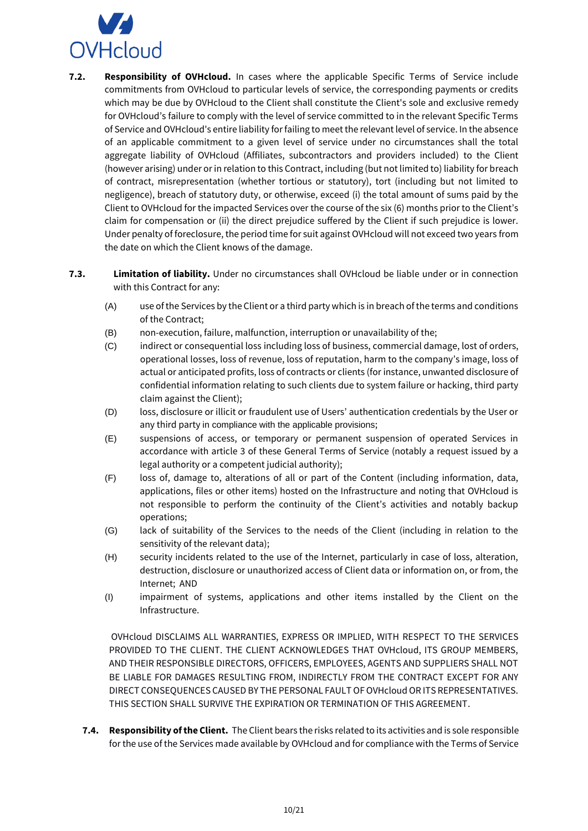

- **7.2. Responsibility of OVHcloud.** In cases where the applicable Specific Terms of Service include commitments from OVHcloud to particular levels of service, the corresponding payments or credits which may be due by OVHcloud to the Client shall constitute the Client's sole and exclusive remedy for OVHcloud's failure to comply with the level of service committed to in the relevant Specific Terms of Service and OVHcloud's entire liability for failing to meet the relevant level of service. In the absence of an applicable commitment to a given level of service under no circumstances shall the total aggregate liability of OVHcloud (Affiliates, subcontractors and providers included) to the Client (however arising) under or in relation to this Contract, including (but not limited to) liability for breach of contract, misrepresentation (whether tortious or statutory), tort (including but not limited to negligence), breach of statutory duty, or otherwise, exceed (i) the total amount of sums paid by the Client to OVHcloud for the impacted Services over the course of the six (6) months prior to the Client's claim for compensation or (ii) the direct prejudice suffered by the Client if such prejudice is lower. Under penalty of foreclosure, the period time for suit against OVHcloud will not exceed two years from the date on which the Client knows of the damage.
- **7.3. Limitation of liability.** Under no circumstances shall OVHcloud be liable under or in connection with this Contract for any:
	- (A) use of the Services by the Client or a third party which is in breach of the terms and conditions of the Contract;
	- (B) non-execution, failure, malfunction, interruption or unavailability of the;
	- (C) indirect or consequential loss including loss of business, commercial damage, lost of orders, operational losses, loss of revenue, loss of reputation, harm to the company's image, loss of actual or anticipated profits, loss of contracts or clients (for instance, unwanted disclosure of confidential information relating to such clients due to system failure or hacking, third party claim against the Client);
	- (D) loss, disclosure or illicit or fraudulent use of Users' authentication credentials by the User or any third party in compliance with the applicable provisions;
	- (E) suspensions of access, or temporary or permanent suspension of operated Services in accordance with article 3 of these General Terms of Service (notably a request issued by a legal authority or a competent judicial authority);
	- (F) loss of, damage to, alterations of all or part of the Content (including information, data, applications, files or other items) hosted on the Infrastructure and noting that OVHcloud is not responsible to perform the continuity of the Client's activities and notably backup operations;
	- (G) lack of suitability of the Services to the needs of the Client (including in relation to the sensitivity of the relevant data);
	- (H) security incidents related to the use of the Internet, particularly in case of loss, alteration, destruction, disclosure or unauthorized access of Client data or information on, or from, the Internet; AND
	- (I) impairment of systems, applications and other items installed by the Client on the Infrastructure.

OVHcloud DISCLAIMS ALL WARRANTIES, EXPRESS OR IMPLIED, WITH RESPECT TO THE SERVICES PROVIDED TO THE CLIENT. THE CLIENT ACKNOWLEDGES THAT OVHcloud, ITS GROUP MEMBERS, AND THEIR RESPONSIBLE DIRECTORS, OFFICERS, EMPLOYEES, AGENTS AND SUPPLIERS SHALL NOT BE LIABLE FOR DAMAGES RESULTING FROM, INDIRECTLY FROM THE CONTRACT EXCEPT FOR ANY DIRECT CONSEQUENCES CAUSED BY THE PERSONAL FAULT OF OVHcloud OR ITS REPRESENTATIVES. THIS SECTION SHALL SURVIVE THE EXPIRATION OR TERMINATION OF THIS AGREEMENT.

**7.4. Responsibility of the Client.** The Client bears the risks related to its activities and is sole responsible for the use of the Services made available by OVHcloud and for compliance with the Terms of Service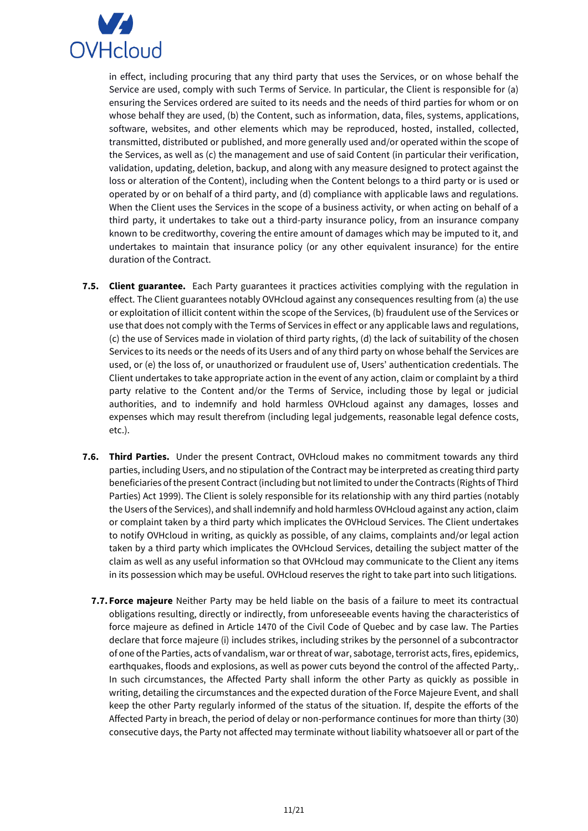

in effect, including procuring that any third party that uses the Services, or on whose behalf the Service are used, comply with such Terms of Service. In particular, the Client is responsible for (a) ensuring the Services ordered are suited to its needs and the needs of third parties for whom or on whose behalf they are used, (b) the Content, such as information, data, files, systems, applications, software, websites, and other elements which may be reproduced, hosted, installed, collected, transmitted, distributed or published, and more generally used and/or operated within the scope of the Services, as well as (c) the management and use of said Content (in particular their verification, validation, updating, deletion, backup, and along with any measure designed to protect against the loss or alteration of the Content), including when the Content belongs to a third party or is used or operated by or on behalf of a third party, and (d) compliance with applicable laws and regulations. When the Client uses the Services in the scope of a business activity, or when acting on behalf of a third party, it undertakes to take out a third-party insurance policy, from an insurance company known to be creditworthy, covering the entire amount of damages which may be imputed to it, and undertakes to maintain that insurance policy (or any other equivalent insurance) for the entire duration of the Contract.

- **7.5. Client guarantee.** Each Party guarantees it practices activities complying with the regulation in effect. The Client guarantees notably OVHcloud against any consequences resulting from (a) the use or exploitation of illicit content within the scope of the Services, (b) fraudulent use of the Services or use that does not comply with the Terms of Services in effect or any applicable laws and regulations, (c) the use of Services made in violation of third party rights, (d) the lack of suitability of the chosen Services to its needs or the needs of its Users and of any third party on whose behalf the Services are used, or (e) the loss of, or unauthorized or fraudulent use of, Users' authentication credentials. The Client undertakes to take appropriate action in the event of any action, claim or complaint by a third party relative to the Content and/or the Terms of Service, including those by legal or judicial authorities, and to indemnify and hold harmless OVHcloud against any damages, losses and expenses which may result therefrom (including legal judgements, reasonable legal defence costs, etc.).
- **7.6. Third Parties.** Under the present Contract, OVHcloud makes no commitment towards any third parties, including Users, and no stipulation of the Contract may be interpreted as creating third party beneficiaries of the present Contract (including but not limited to under the Contracts (Rights of Third Parties) Act 1999). The Client is solely responsible for its relationship with any third parties (notably the Users of the Services), and shall indemnify and hold harmless OVHcloud against any action, claim or complaint taken by a third party which implicates the OVHcloud Services. The Client undertakes to notify OVHcloud in writing, as quickly as possible, of any claims, complaints and/or legal action taken by a third party which implicates the OVHcloud Services, detailing the subject matter of the claim as well as any useful information so that OVHcloud may communicate to the Client any items in its possession which may be useful. OVHcloud reserves the right to take part into such litigations.
	- **7.7. Force majeure** Neither Party may be held liable on the basis of a failure to meet its contractual obligations resulting, directly or indirectly, from unforeseeable events having the characteristics of force majeure as defined in Article 1470 of the Civil Code of Quebec and by case law. The Parties declare that force majeure (i) includes strikes, including strikes by the personnel of a subcontractor of one of the Parties, acts of vandalism, war or threat of war, sabotage, terrorist acts, fires, epidemics, earthquakes, floods and explosions, as well as power cuts beyond the control of the affected Party,. In such circumstances, the Affected Party shall inform the other Party as quickly as possible in writing, detailing the circumstances and the expected duration of the Force Majeure Event, and shall keep the other Party regularly informed of the status of the situation. If, despite the efforts of the Affected Party in breach, the period of delay or non-performance continues for more than thirty (30) consecutive days, the Party not affected may terminate without liability whatsoever all or part of the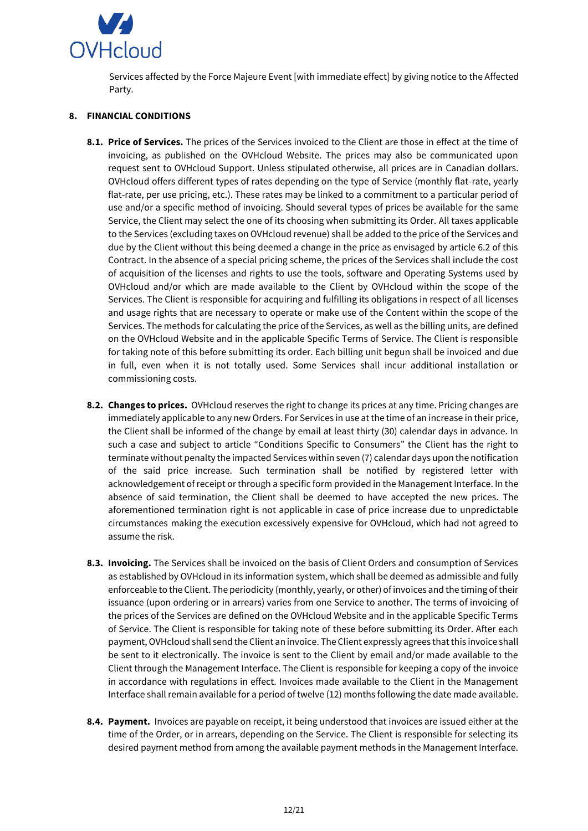

Services affected by the Force Majeure Event [with immediate effect] by giving notice to the Affected Party.

### **8. FINANCIAL CONDITIONS**

- **8.1. Price of Services.** The prices of the Services invoiced to the Client are those in effect at the time of invoicing, as published on the OVHcloud Website. The prices may also be communicated upon request sent to OVHcloud Support. Unless stipulated otherwise, all prices are in Canadian dollars. OVHcloud offers different types of rates depending on the type of Service (monthly flat-rate, yearly flat-rate, per use pricing, etc.). These rates may be linked to a commitment to a particular period of use and/or a specific method of invoicing. Should several types of prices be available for the same Service, the Client may select the one of its choosing when submitting its Order. All taxes applicable to the Services (excluding taxes on OVHcloud revenue) shall be added to the price of the Services and due by the Client without this being deemed a change in the price as envisaged by article 6.2 of this Contract. In the absence of a special pricing scheme, the prices of the Services shall include the cost of acquisition of the licenses and rights to use the tools, software and Operating Systems used by OVHcloud and/or which are made available to the Client by OVHcloud within the scope of the Services. The Client is responsible for acquiring and fulfilling its obligations in respect of all licenses and usage rights that are necessary to operate or make use of the Content within the scope of the Services. The methods for calculating the price of the Services, as well as the billing units, are defined on the OVHcloud Website and in the applicable Specific Terms of Service. The Client is responsible for taking note of this before submitting its order. Each billing unit begun shall be invoiced and due in full, even when it is not totally used. Some Services shall incur additional installation or commissioning costs.
- **8.2. Changes to prices.** OVHcloud reserves the right to change its prices at any time. Pricing changes are immediately applicable to any new Orders. For Services in use at the time of an increase in their price, the Client shall be informed of the change by email at least thirty (30) calendar days in advance. In such a case and subject to article "Conditions Specific to Consumers" the Client has the right to terminate without penalty the impacted Services within seven (7) calendar days upon the notification of the said price increase. Such termination shall be notified by registered letter with acknowledgement of receipt or through a specific form provided in the Management Interface. In the absence of said termination, the Client shall be deemed to have accepted the new prices. The aforementioned termination right is not applicable in case of price increase due to unpredictable circumstances making the execution excessively expensive for OVHcloud, which had not agreed to assume the risk.
- **8.3. Invoicing.** The Services shall be invoiced on the basis of Client Orders and consumption of Services as established by OVHcloud in its information system, which shall be deemed as admissible and fully enforceable to the Client. The periodicity (monthly, yearly, or other) of invoices and the timing of their issuance (upon ordering or in arrears) varies from one Service to another. The terms of invoicing of the prices of the Services are defined on the OVHcloud Website and in the applicable Specific Terms of Service. The Client is responsible for taking note of these before submitting its Order. After each payment, OVHcloud shall send the Client an invoice. The Client expressly agrees that this invoice shall be sent to it electronically. The invoice is sent to the Client by email and/or made available to the Client through the Management Interface. The Client is responsible for keeping a copy of the invoice in accordance with regulations in effect. Invoices made available to the Client in the Management Interface shall remain available for a period of twelve (12) months following the date made available.
- **8.4. Payment.** Invoices are payable on receipt, it being understood that invoices are issued either at the time of the Order, or in arrears, depending on the Service. The Client is responsible for selecting its desired payment method from among the available payment methods in the Management Interface.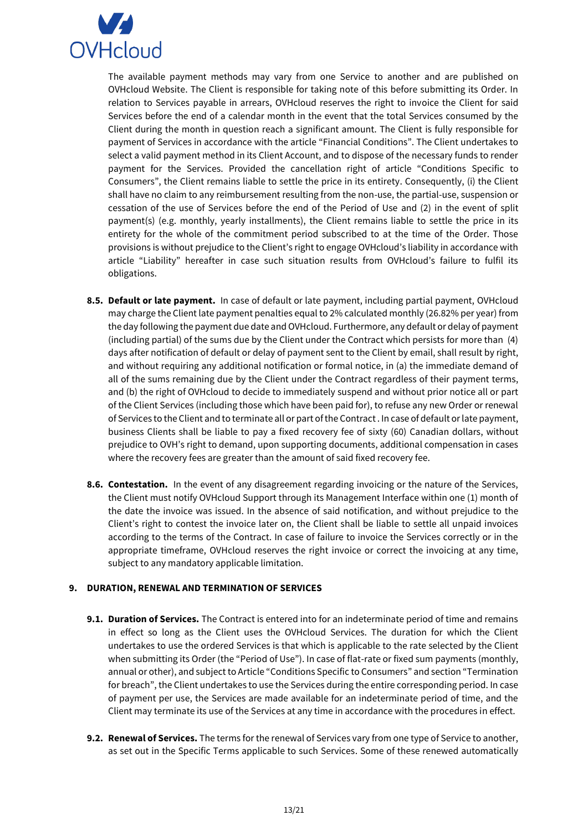

The available payment methods may vary from one Service to another and are published on OVHcloud Website. The Client is responsible for taking note of this before submitting its Order. In relation to Services payable in arrears, OVHcloud reserves the right to invoice the Client for said Services before the end of a calendar month in the event that the total Services consumed by the Client during the month in question reach a significant amount. The Client is fully responsible for payment of Services in accordance with the article "Financial Conditions". The Client undertakes to select a valid payment method in its Client Account, and to dispose of the necessary funds to render payment for the Services. Provided the cancellation right of article "Conditions Specific to Consumers", the Client remains liable to settle the price in its entirety. Consequently, (i) the Client shall have no claim to any reimbursement resulting from the non-use, the partial-use, suspension or cessation of the use of Services before the end of the Period of Use and (2) in the event of split payment(s) (e.g. monthly, yearly installments), the Client remains liable to settle the price in its entirety for the whole of the commitment period subscribed to at the time of the Order. Those provisions is without prejudice to the Client's right to engage OVHcloud's liability in accordance with article "Liability" hereafter in case such situation results from OVHcloud's failure to fulfil its obligations.

- **8.5. Default or late payment.** In case of default or late payment, including partial payment, OVHcloud may charge the Client late payment penalties equal to 2% calculated monthly (26.82% per year) from the day following the payment due date and OVHcloud. Furthermore, any default or delay of payment (including partial) of the sums due by the Client under the Contract which persists for more than (4) days after notification of default or delay of payment sent to the Client by email, shall result by right, and without requiring any additional notification or formal notice, in (a) the immediate demand of all of the sums remaining due by the Client under the Contract regardless of their payment terms, and (b) the right of OVHcloud to decide to immediately suspend and without prior notice all or part of the Client Services (including those which have been paid for), to refuse any new Order or renewal of Services to the Client and to terminate all or part of the Contract . In case of default or late payment, business Clients shall be liable to pay a fixed recovery fee of sixty (60) Canadian dollars, without prejudice to OVH's right to demand, upon supporting documents, additional compensation in cases where the recovery fees are greater than the amount of said fixed recovery fee.
- **8.6. Contestation.** In the event of any disagreement regarding invoicing or the nature of the Services, the Client must notify OVHcloud Support through its Management Interface within one (1) month of the date the invoice was issued. In the absence of said notification, and without prejudice to the Client's right to contest the invoice later on, the Client shall be liable to settle all unpaid invoices according to the terms of the Contract. In case of failure to invoice the Services correctly or in the appropriate timeframe, OVHcloud reserves the right invoice or correct the invoicing at any time, subject to any mandatory applicable limitation.

#### <span id="page-12-0"></span>**9. DURATION, RENEWAL AND TERMINATION OF SERVICES**

- **9.1. Duration of Services.** The Contract is entered into for an indeterminate period of time and remains in effect so long as the Client uses the OVHcloud Services. The duration for which the Client undertakes to use the ordered Services is that which is applicable to the rate selected by the Client when submitting its Order (the "Period of Use"). In case of flat-rate or fixed sum payments (monthly, annual or other), and subject to Article "Conditions Specific to Consumers" and section "Termination for breach", the Client undertakes to use the Services during the entire corresponding period. In case of payment per use, the Services are made available for an indeterminate period of time, and the Client may terminate its use of the Services at any time in accordance with the procedures in effect.
- **9.2. Renewal of Services.** The terms for the renewal of Services vary from one type of Service to another, as set out in the Specific Terms applicable to such Services. Some of these renewed automatically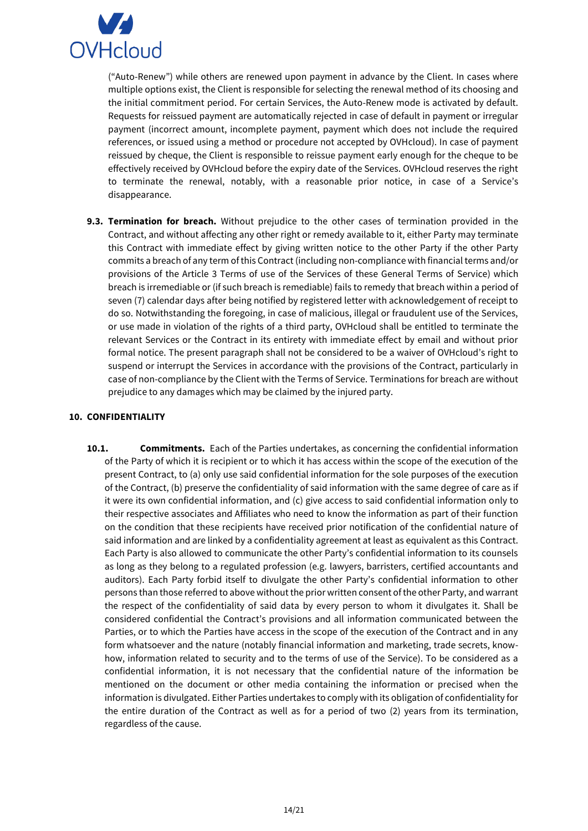

("Auto-Renew") while others are renewed upon payment in advance by the Client. In cases where multiple options exist, the Client is responsible for selecting the renewal method of its choosing and the initial commitment period. For certain Services, the Auto-Renew mode is activated by default. Requests for reissued payment are automatically rejected in case of default in payment or irregular payment (incorrect amount, incomplete payment, payment which does not include the required references, or issued using a method or procedure not accepted by OVHcloud). In case of payment reissued by cheque, the Client is responsible to reissue payment early enough for the cheque to be effectively received by OVHcloud before the expiry date of the Services. OVHcloud reserves the right to terminate the renewal, notably, with a reasonable prior notice, in case of a Service's disappearance.

**9.3. Termination for breach.** Without prejudice to the other cases of termination provided in the Contract, and without affecting any other right or remedy available to it, either Party may terminate this Contract with immediate effect by giving written notice to the other Party if the other Party commits a breach of any term of this Contract (including non-compliance with financial terms and/or provisions of the Article 3 Terms of use of the Services of these General Terms of Service) which breach is irremediable or (if such breach is remediable) fails to remedy that breach within a period of seven (7) calendar days after being notified by registered letter with acknowledgement of receipt to do so. Notwithstanding the foregoing, in case of malicious, illegal or fraudulent use of the Services, or use made in violation of the rights of a third party, OVHcloud shall be entitled to terminate the relevant Services or the Contract in its entirety with immediate effect by email and without prior formal notice. The present paragraph shall not be considered to be a waiver of OVHcloud's right to suspend or interrupt the Services in accordance with the provisions of the Contract, particularly in case of non-compliance by the Client with the Terms of Service. Terminations for breach are without prejudice to any damages which may be claimed by the injured party.

### <span id="page-13-0"></span>**10. CONFIDENTIALITY**

**10.1. Commitments.** Each of the Parties undertakes, as concerning the confidential information of the Party of which it is recipient or to which it has access within the scope of the execution of the present Contract, to (a) only use said confidential information for the sole purposes of the execution of the Contract, (b) preserve the confidentiality of said information with the same degree of care as if it were its own confidential information, and (c) give access to said confidential information only to their respective associates and Affiliates who need to know the information as part of their function on the condition that these recipients have received prior notification of the confidential nature of said information and are linked by a confidentiality agreement at least as equivalent as this Contract. Each Party is also allowed to communicate the other Party's confidential information to its counsels as long as they belong to a regulated profession (e.g. lawyers, barristers, certified accountants and auditors). Each Party forbid itself to divulgate the other Party's confidential information to other persons than those referred to above without the prior written consent of the other Party, and warrant the respect of the confidentiality of said data by every person to whom it divulgates it. Shall be considered confidential the Contract's provisions and all information communicated between the Parties, or to which the Parties have access in the scope of the execution of the Contract and in any form whatsoever and the nature (notably financial information and marketing, trade secrets, knowhow, information related to security and to the terms of use of the Service). To be considered as a confidential information, it is not necessary that the confidential nature of the information be mentioned on the document or other media containing the information or precised when the information is divulgated. Either Parties undertakes to comply with its obligation of confidentiality for the entire duration of the Contract as well as for a period of two (2) years from its termination, regardless of the cause.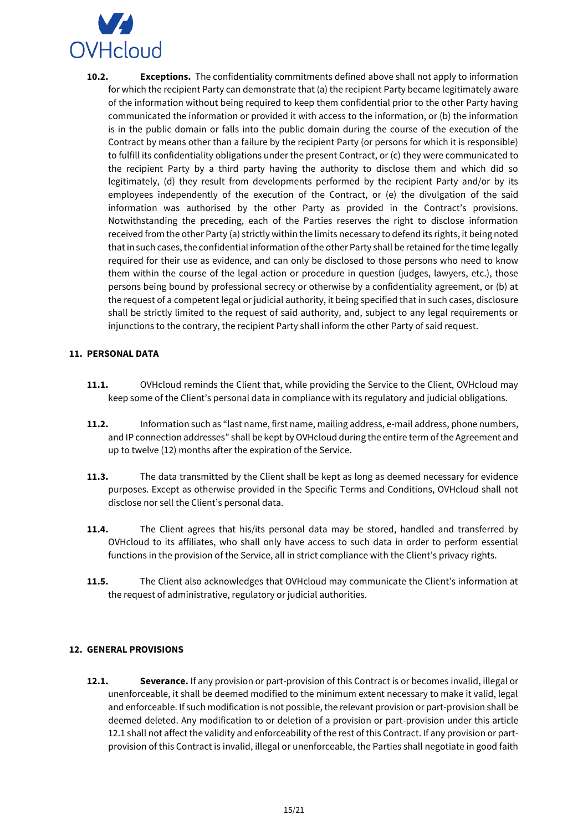

**10.2. Exceptions.** The confidentiality commitments defined above shall not apply to information for which the recipient Party can demonstrate that (a) the recipient Party became legitimately aware of the information without being required to keep them confidential prior to the other Party having communicated the information or provided it with access to the information, or (b) the information is in the public domain or falls into the public domain during the course of the execution of the Contract by means other than a failure by the recipient Party (or persons for which it is responsible) to fulfill its confidentiality obligations under the present Contract, or (c) they were communicated to the recipient Party by a third party having the authority to disclose them and which did so legitimately, (d) they result from developments performed by the recipient Party and/or by its employees independently of the execution of the Contract, or (e) the divulgation of the said information was authorised by the other Party as provided in the Contract's provisions. Notwithstanding the preceding, each of the Parties reserves the right to disclose information received from the other Party (a) strictly within the limits necessary to defend its rights, it being noted that in such cases, the confidential information of the other Party shall be retained for the time legally required for their use as evidence, and can only be disclosed to those persons who need to know them within the course of the legal action or procedure in question (judges, lawyers, etc.), those persons being bound by professional secrecy or otherwise by a confidentiality agreement, or (b) at the request of a competent legal or judicial authority, it being specified that in such cases, disclosure shall be strictly limited to the request of said authority, and, subject to any legal requirements or injunctions to the contrary, the recipient Party shall inform the other Party of said request.

### <span id="page-14-0"></span>**11. PERSONAL DATA**

- **11.1.** OVHcloud reminds the Client that, while providing the Service to the Client, OVHcloud may keep some of the Client's personal data in compliance with its regulatory and judicial obligations.
- **11.2.** Information such as "last name, first name, mailing address, e-mail address, phone numbers, and IP connection addresses" shall be kept by OVHcloud during the entire term of the Agreement and up to twelve (12) months after the expiration of the Service.
- **11.3.** The data transmitted by the Client shall be kept as long as deemed necessary for evidence purposes. Except as otherwise provided in the Specific Terms and Conditions, OVHcloud shall not disclose nor sell the Client's personal data.
- 11.4. The Client agrees that his/its personal data may be stored, handled and transferred by OVHcloud to its affiliates, who shall only have access to such data in order to perform essential functions in the provision of the Service, all in strict compliance with the Client's privacy rights.
- **11.5.** The Client also acknowledges that OVHcloud may communicate the Client's information at the request of administrative, regulatory or judicial authorities.

### <span id="page-14-1"></span>**12. GENERAL PROVISIONS**

**12.1. Severance.** If any provision or part-provision of this Contract is or becomes invalid, illegal or unenforceable, it shall be deemed modified to the minimum extent necessary to make it valid, legal and enforceable. If such modification is not possible, the relevant provision or part-provision shall be deemed deleted. Any modification to or deletion of a provision or part-provision under this article 12.1 shall not affect the validity and enforceability of the rest of this Contract. If any provision or partprovision of this Contract is invalid, illegal or unenforceable, the Parties shall negotiate in good faith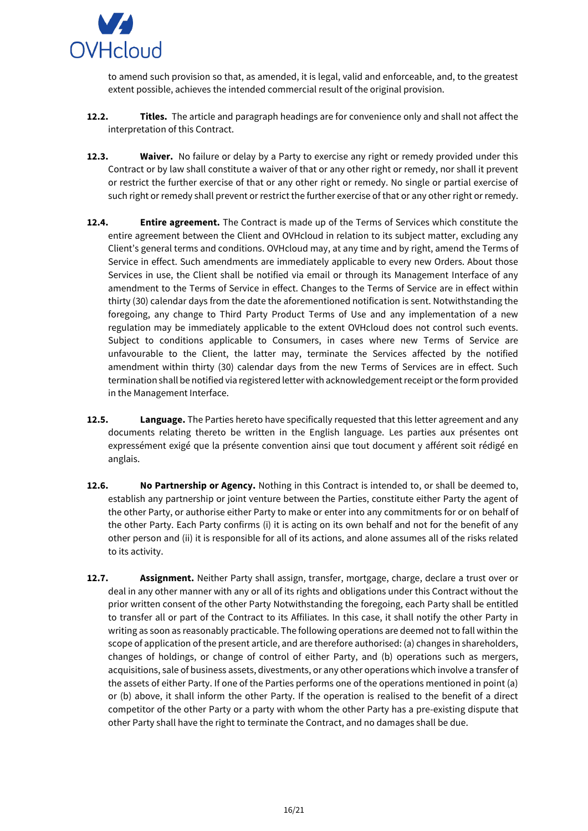

to amend such provision so that, as amended, it is legal, valid and enforceable, and, to the greatest extent possible, achieves the intended commercial result of the original provision.

- **12.2. Titles.** The article and paragraph headings are for convenience only and shall not affect the interpretation of this Contract.
- **12.3. Waiver.** No failure or delay by a Party to exercise any right or remedy provided under this Contract or by law shall constitute a waiver of that or any other right or remedy, nor shall it prevent or restrict the further exercise of that or any other right or remedy. No single or partial exercise of such right or remedy shall prevent or restrict the further exercise of that or any other right or remedy.
- **12.4. Entire agreement.** The Contract is made up of the Terms of Services which constitute the entire agreement between the Client and OVHcloud in relation to its subject matter, excluding any Client's general terms and conditions. OVHcloud may, at any time and by right, amend the Terms of Service in effect. Such amendments are immediately applicable to every new Orders. About those Services in use, the Client shall be notified via email or through its Management Interface of any amendment to the Terms of Service in effect. Changes to the Terms of Service are in effect within thirty (30) calendar days from the date the aforementioned notification is sent. Notwithstanding the foregoing, any change to Third Party Product Terms of Use and any implementation of a new regulation may be immediately applicable to the extent OVHcloud does not control such events. Subject to conditions applicable to Consumers, in cases where new Terms of Service are unfavourable to the Client, the latter may, terminate the Services affected by the notified amendment within thirty (30) calendar days from the new Terms of Services are in effect. Such termination shall be notified via registered letter with acknowledgement receipt or the form provided in the Management Interface.
- **12.5. Language.** The Parties hereto have specifically requested that this letter agreement and any documents relating thereto be written in the English language. Les parties aux présentes ont expressément exigé que la présente convention ainsi que tout document y afférent soit rédigé en anglais.
- **12.6. No Partnership or Agency.** Nothing in this Contract is intended to, or shall be deemed to, establish any partnership or joint venture between the Parties, constitute either Party the agent of the other Party, or authorise either Party to make or enter into any commitments for or on behalf of the other Party. Each Party confirms (i) it is acting on its own behalf and not for the benefit of any other person and (ii) it is responsible for all of its actions, and alone assumes all of the risks related to its activity.
- **12.7. Assignment.** Neither Party shall assign, transfer, mortgage, charge, declare a trust over or deal in any other manner with any or all of its rights and obligations under this Contract without the prior written consent of the other Party Notwithstanding the foregoing, each Party shall be entitled to transfer all or part of the Contract to its Affiliates. In this case, it shall notify the other Party in writing as soon as reasonably practicable. The following operations are deemed not to fall within the scope of application of the present article, and are therefore authorised: (a) changes in shareholders, changes of holdings, or change of control of either Party, and (b) operations such as mergers, acquisitions, sale of business assets, divestments, or any other operations which involve a transfer of the assets of either Party. If one of the Parties performs one of the operations mentioned in point (a) or (b) above, it shall inform the other Party. If the operation is realised to the benefit of a direct competitor of the other Party or a party with whom the other Party has a pre-existing dispute that other Party shall have the right to terminate the Contract, and no damages shall be due.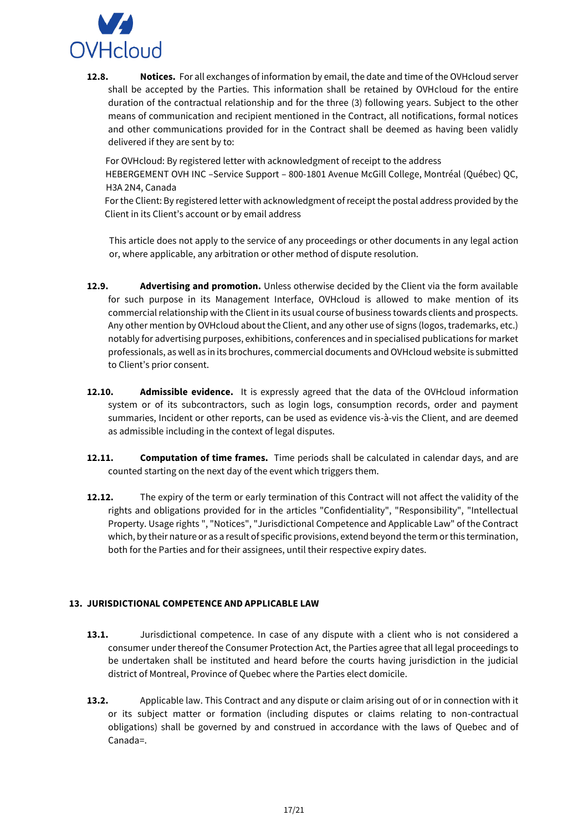

**12.8. Notices.** For all exchanges of information by email, the date and time of the OVHcloud server shall be accepted by the Parties. This information shall be retained by OVHcloud for the entire duration of the contractual relationship and for the three (3) following years. Subject to the other means of communication and recipient mentioned in the Contract, all notifications, formal notices and other communications provided for in the Contract shall be deemed as having been validly delivered if they are sent by to:

For OVHcloud: By registered letter with acknowledgment of receipt to the address HEBERGEMENT OVH INC –Service Support – 800-1801 Avenue McGill College, Montréal (Québec) QC, H3A 2N4, Canada

For the Client: By registered letter with acknowledgment of receipt the postal address provided by the Client in its Client's account or by email address

This article does not apply to the service of any proceedings or other documents in any legal action or, where applicable, any arbitration or other method of dispute resolution.

- **12.9. Advertising and promotion.** Unless otherwise decided by the Client via the form available for such purpose in its Management Interface, OVHcloud is allowed to make mention of its commercial relationship with the Client in its usual course of business towards clients and prospects. Any other mention by OVHcloud about the Client, and any other use of signs (logos, trademarks, etc.) notably for advertising purposes, exhibitions, conferences and in specialised publications for market professionals, as well as in its brochures, commercial documents and OVHcloud website is submitted to Client's prior consent.
- **12.10. Admissible evidence.** It is expressly agreed that the data of the OVHcloud information system or of its subcontractors, such as login logs, consumption records, order and payment summaries, Incident or other reports, can be used as evidence vis-à-vis the Client, and are deemed as admissible including in the context of legal disputes.
- **12.11. Computation of time frames.** Time periods shall be calculated in calendar days, and are counted starting on the next day of the event which triggers them.
- **12.12.** The expiry of the term or early termination of this Contract will not affect the validity of the rights and obligations provided for in the articles "Confidentiality", "Responsibility", "Intellectual Property. Usage rights ", "Notices", "Jurisdictional Competence and Applicable Law" of the Contract which, by their nature or as a result of specific provisions, extend beyond the term or this termination, both for the Parties and for their assignees, until their respective expiry dates.

### <span id="page-16-0"></span>**13. JURISDICTIONAL COMPETENCE AND APPLICABLE LAW**

- **13.1.** Jurisdictional competence. In case of any dispute with a client who is not considered a consumer under thereof the Consumer Protection Act, the Parties agree that all legal proceedings to be undertaken shall be instituted and heard before the courts having jurisdiction in the judicial district of Montreal, Province of Quebec where the Parties elect domicile.
- **13.2.** Applicable law. This Contract and any dispute or claim arising out of or in connection with it or its subject matter or formation (including disputes or claims relating to non-contractual obligations) shall be governed by and construed in accordance with the laws of Quebec and of Canada=.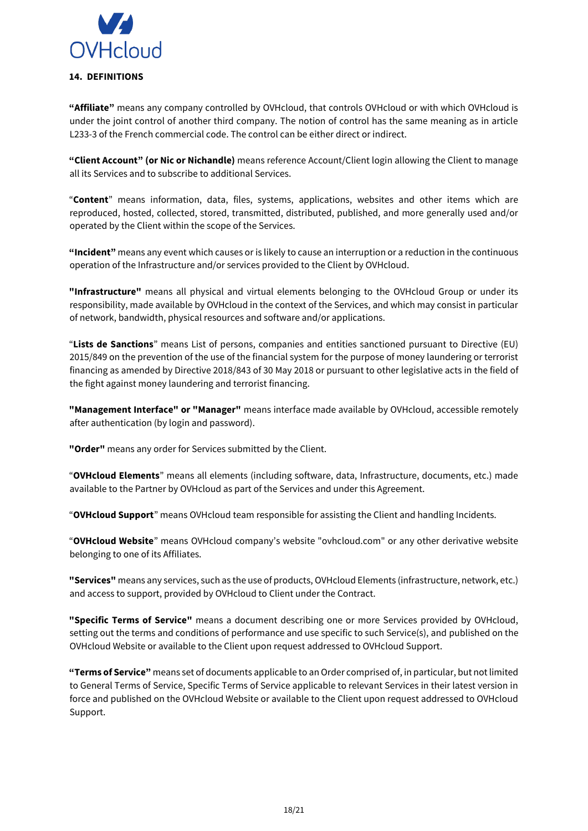

<span id="page-17-0"></span>**"Affiliate"** means any company controlled by OVHcloud, that controls OVHcloud or with which OVHcloud is under the joint control of another third company. The notion of control has the same meaning as in article L233-3 of the French commercial code. The control can be either direct or indirect.

**"Client Account" (or Nic or Nichandle)** means reference Account/Client login allowing the Client to manage all its Services and to subscribe to additional Services.

"**Content**" means information, data, files, systems, applications, websites and other items which are reproduced, hosted, collected, stored, transmitted, distributed, published, and more generally used and/or operated by the Client within the scope of the Services.

**"Incident"** means any event which causes or is likely to cause an interruption or a reduction in the continuous operation of the Infrastructure and/or services provided to the Client by OVHcloud.

**"Infrastructure"** means all physical and virtual elements belonging to the OVHcloud Group or under its responsibility, made available by OVHcloud in the context of the Services, and which may consist in particular of network, bandwidth, physical resources and software and/or applications.

"**Lists de Sanctions**" means List of persons, companies and entities sanctioned pursuant to Directive (EU) 2015/849 on the prevention of the use of the financial system for the purpose of money laundering or terrorist financing as amended by Directive 2018/843 of 30 May 2018 or pursuant to other legislative acts in the field of the fight against money laundering and terrorist financing.

**"Management Interface" or "Manager"** means interface made available by OVHcloud, accessible remotely after authentication (by login and password).

**"Order"** means any order for Services submitted by the Client.

"**OVHcloud Elements**" means all elements (including software, data, Infrastructure, documents, etc.) made available to the Partner by OVHcloud as part of the Services and under this Agreement.

"**OVHcloud Support**" means OVHcloud team responsible for assisting the Client and handling Incidents.

"**OVHcloud Website**" means OVHcloud company's website "ovhcloud.com" or any other derivative website belonging to one of its Affiliates.

**"Services"** means any services, such as the use of products, OVHcloud Elements (infrastructure, network, etc.) and access to support, provided by OVHcloud to Client under the Contract.

**"Specific Terms of Service"** means a document describing one or more Services provided by OVHcloud, setting out the terms and conditions of performance and use specific to such Service(s), and published on the OVHcloud Website or available to the Client upon request addressed to OVHcloud Support.

**"Terms of Service"** means set of documents applicable to an Order comprised of, in particular, but not limited to General Terms of Service, Specific Terms of Service applicable to relevant Services in their latest version in force and published on the OVHcloud Website or available to the Client upon request addressed to OVHcloud Support.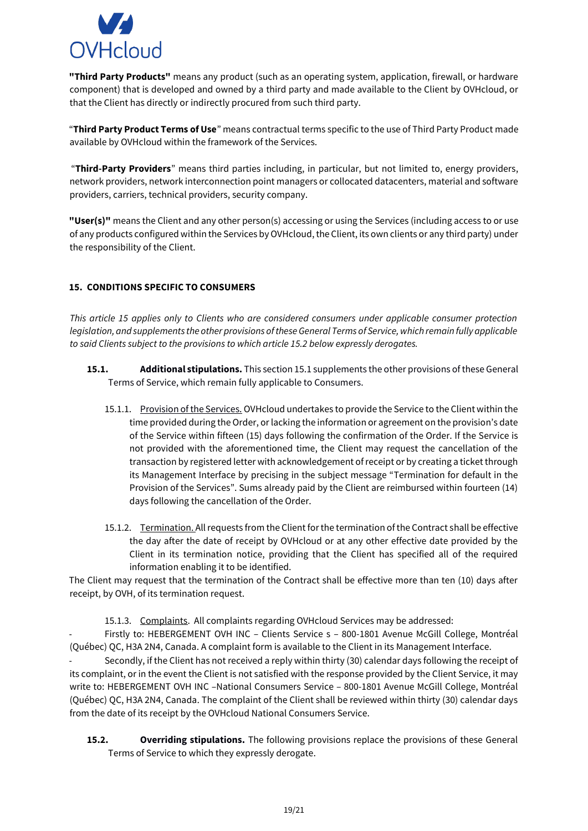

**"Third Party Products"** means any product (such as an operating system, application, firewall, or hardware component) that is developed and owned by a third party and made available to the Client by OVHcloud, or that the Client has directly or indirectly procured from such third party.

"**Third Party Product Terms of Use**" means contractual terms specific to the use of Third Party Product made available by OVHcloud within the framework of the Services.

"**Third-Party Providers**" means third parties including, in particular, but not limited to, energy providers, network providers, network interconnection point managers or collocated datacenters, material and software providers, carriers, technical providers, security company.

**"User(s)"** means the Client and any other person(s) accessing or using the Services (including access to or use of any products configured within the Services by OVHcloud, the Client, its own clients or any third party) under the responsibility of the Client.

# <span id="page-18-0"></span>**15. CONDITIONS SPECIFIC TO CONSUMERS**

*This article 15 applies only to Clients who are considered consumers under applicable consumer protection legislation, and supplements the other provisions of these General Terms of Service, which remain fully applicable to said Clients subject to the provisions to which article 15.2 below expressly derogates.* 

- **15.1. Additional stipulations.** This section 15.1 supplements the other provisions of these General Terms of Service, which remain fully applicable to Consumers.
	- 15.1.1. Provision of the Services. OVHcloud undertakes to provide the Service to the Client within the time provided during the Order, or lacking the information or agreement on the provision's date of the Service within fifteen (15) days following the confirmation of the Order. If the Service is not provided with the aforementioned time, the Client may request the cancellation of the transaction by registered letter with acknowledgement of receipt or by creating a ticket through its Management Interface by precising in the subject message "Termination for default in the Provision of the Services". Sums already paid by the Client are reimbursed within fourteen (14) days following the cancellation of the Order.
	- 15.1.2. Termination. All requests from the Client for the termination of the Contract shall be effective the day after the date of receipt by OVHcloud or at any other effective date provided by the Client in its termination notice, providing that the Client has specified all of the required information enabling it to be identified.

The Client may request that the termination of the Contract shall be effective more than ten (10) days after receipt, by OVH, of its termination request.

15.1.3. Complaints. All complaints regarding OVHcloud Services may be addressed:

- Firstly to: HEBERGEMENT OVH INC – Clients Service s – 800-1801 Avenue McGill College, Montréal (Québec) QC, H3A 2N4, Canada. A complaint form is available to the Client in its Management Interface.

Secondly, if the Client has not received a reply within thirty (30) calendar days following the receipt of its complaint, or in the event the Client is not satisfied with the response provided by the Client Service, it may write to: HEBERGEMENT OVH INC –National Consumers Service – 800-1801 Avenue McGill College, Montréal (Québec) QC, H3A 2N4, Canada. The complaint of the Client shall be reviewed within thirty (30) calendar days from the date of its receipt by the OVHcloud National Consumers Service.

**15.2. Overriding stipulations.** The following provisions replace the provisions of these General Terms of Service to which they expressly derogate.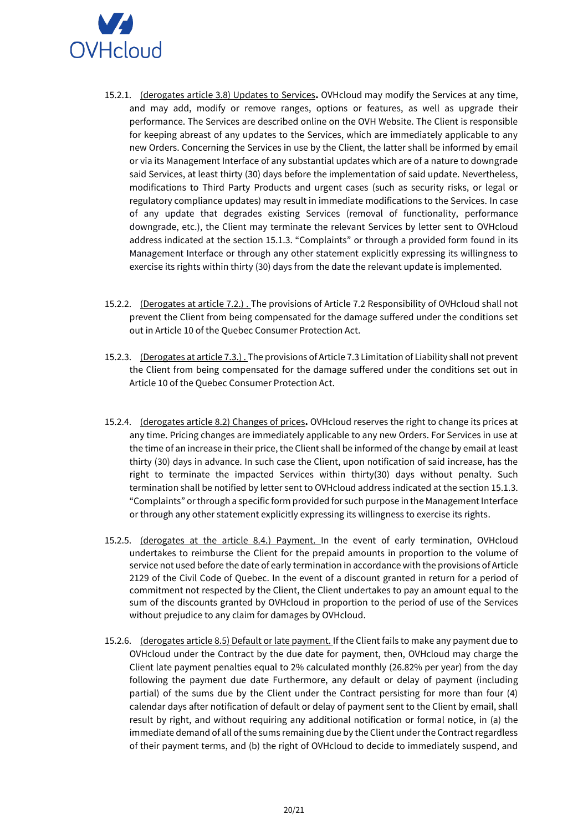

- 15.2.1. (derogates article 3.8) Updates to Services**.** OVHcloud may modify the Services at any time, and may add, modify or remove ranges, options or features, as well as upgrade their performance. The Services are described online on the OVH Website. The Client is responsible for keeping abreast of any updates to the Services, which are immediately applicable to any new Orders. Concerning the Services in use by the Client, the latter shall be informed by email or via its Management Interface of any substantial updates which are of a nature to downgrade said Services, at least thirty (30) days before the implementation of said update. Nevertheless, modifications to Third Party Products and urgent cases (such as security risks, or legal or regulatory compliance updates) may result in immediate modifications to the Services. In case of any update that degrades existing Services (removal of functionality, performance downgrade, etc.), the Client may terminate the relevant Services by letter sent to OVHcloud address indicated at the section 15.1.3. "Complaints" or through a provided form found in its Management Interface or through any other statement explicitly expressing its willingness to exercise its rights within thirty (30) days from the date the relevant update is implemented.
- 15.2.2. (Derogates at article 7.2.). The provisions of Article 7.2 Responsibility of OVHcloud shall not prevent the Client from being compensated for the damage suffered under the conditions set out in Article 10 of the Quebec Consumer Protection Act.
- 15.2.3. (Derogates at article 7.3.) . The provisions of Article 7.3 Limitation of Liability shall not prevent the Client from being compensated for the damage suffered under the conditions set out in Article 10 of the Quebec Consumer Protection Act.
- 15.2.4. (derogates article 8.2) Changes of prices**.** OVHcloud reserves the right to change its prices at any time. Pricing changes are immediately applicable to any new Orders. For Services in use at the time of an increase in their price, the Client shall be informed of the change by email at least thirty (30) days in advance. In such case the Client, upon notification of said increase, has the right to terminate the impacted Services within thirty(30) days without penalty. Such termination shall be notified by letter sent to OVHcloud address indicated at the section 15.1.3. "Complaints" or through a specific form provided for such purpose in the Management Interface or through any other statement explicitly expressing its willingness to exercise its rights.
- 15.2.5. (derogates at the article 8.4.) Payment. In the event of early termination, OVHcloud undertakes to reimburse the Client for the prepaid amounts in proportion to the volume of service not used before the date of early termination in accordance with the provisions of Article 2129 of the Civil Code of Quebec. In the event of a discount granted in return for a period of commitment not respected by the Client, the Client undertakes to pay an amount equal to the sum of the discounts granted by OVHcloud in proportion to the period of use of the Services without prejudice to any claim for damages by OVHcloud.
- 15.2.6. (derogates article 8.5) Default or late payment. If the Client fails to make any payment due to OVHcloud under the Contract by the due date for payment, then, OVHcloud may charge the Client late payment penalties equal to 2% calculated monthly (26.82% per year) from the day following the payment due date Furthermore, any default or delay of payment (including partial) of the sums due by the Client under the Contract persisting for more than four (4) calendar days after notification of default or delay of payment sent to the Client by email, shall result by right, and without requiring any additional notification or formal notice, in (a) the immediate demand of all of the sums remaining due by the Client under the Contract regardless of their payment terms, and (b) the right of OVHcloud to decide to immediately suspend, and